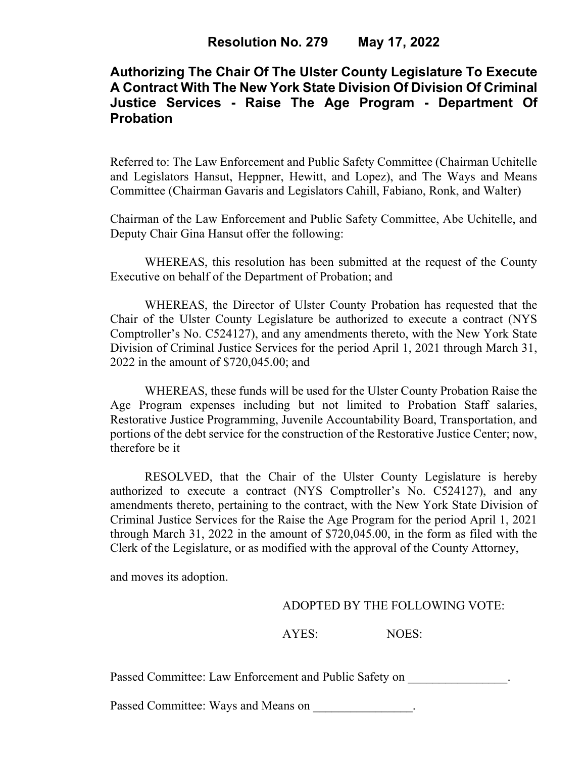## **Authorizing The Chair Of The Ulster County Legislature To Execute A Contract With The New York State Division Of Division Of Criminal Justice Services - Raise The Age Program - Department Of Probation**

Referred to: The Law Enforcement and Public Safety Committee (Chairman Uchitelle and Legislators Hansut, Heppner, Hewitt, and Lopez), and The Ways and Means Committee (Chairman Gavaris and Legislators Cahill, Fabiano, Ronk, and Walter)

Chairman of the Law Enforcement and Public Safety Committee, Abe Uchitelle, and Deputy Chair Gina Hansut offer the following:

WHEREAS, this resolution has been submitted at the request of the County Executive on behalf of the Department of Probation; and

WHEREAS, the Director of Ulster County Probation has requested that the Chair of the Ulster County Legislature be authorized to execute a contract (NYS Comptroller's No. C524127), and any amendments thereto, with the New York State Division of Criminal Justice Services for the period April 1, 2021 through March 31, 2022 in the amount of \$720,045.00; and

WHEREAS, these funds will be used for the Ulster County Probation Raise the Age Program expenses including but not limited to Probation Staff salaries, Restorative Justice Programming, Juvenile Accountability Board, Transportation, and portions of the debt service for the construction of the Restorative Justice Center; now, therefore be it

RESOLVED, that the Chair of the Ulster County Legislature is hereby authorized to execute a contract (NYS Comptroller's No. C524127), and any amendments thereto, pertaining to the contract, with the New York State Division of Criminal Justice Services for the Raise the Age Program for the period April 1, 2021 through March 31, 2022 in the amount of \$720,045.00, in the form as filed with the Clerk of the Legislature, or as modified with the approval of the County Attorney,

and moves its adoption.

## ADOPTED BY THE FOLLOWING VOTE:

AYES: NOES:

Passed Committee: Law Enforcement and Public Safety on  $\blacksquare$ 

Passed Committee: Ways and Means on